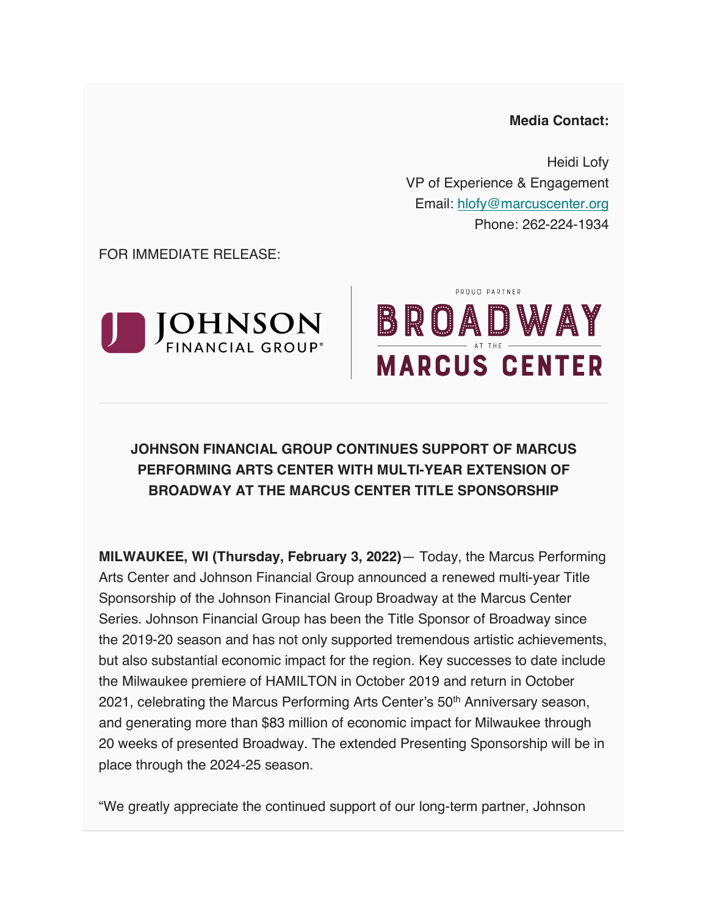#### **Media Contact:**

Heidi Lofy VP of Experience & Engagement Email: hlofy@marcuscenter.org Phone: 262-224-1934

FOR IMMEDIATE RELEASE:



# PROUD PARTNER BROADWAY **MARCUS CENTER**

## **JOHNSON FINANCIAL GROUP CONTINUES SUPPORT OF MARCUS PERFORMING ARTS CENTER WITH MULTI-YEAR EXTENSION OF BROADWAY AT THE MARCUS CENTER TITLE SPONSORSHIP**

**MILWAUKEE, WI (Thursday, February 3, 2022)**— Today, the Marcus Performing Arts Center and Johnson Financial Group announced a renewed multi-year Title Sponsorship of the Johnson Financial Group Broadway at the Marcus Center Series. Johnson Financial Group has been the Title Sponsor of Broadway since the 2019-20 season and has not only supported tremendous artistic achievements, but also substantial economic impact for the region. Key successes to date include the Milwaukee premiere of HAMILTON in October 2019 and return in October 2021, celebrating the Marcus Performing Arts Center's 50<sup>th</sup> Anniversary season, and generating more than \$83 million of economic impact for Milwaukee through 20 weeks of presented Broadway. The extended Presenting Sponsorship will be in place through the 2024-25 season.

"We greatly appreciate the continued support of our long-term partner, Johnson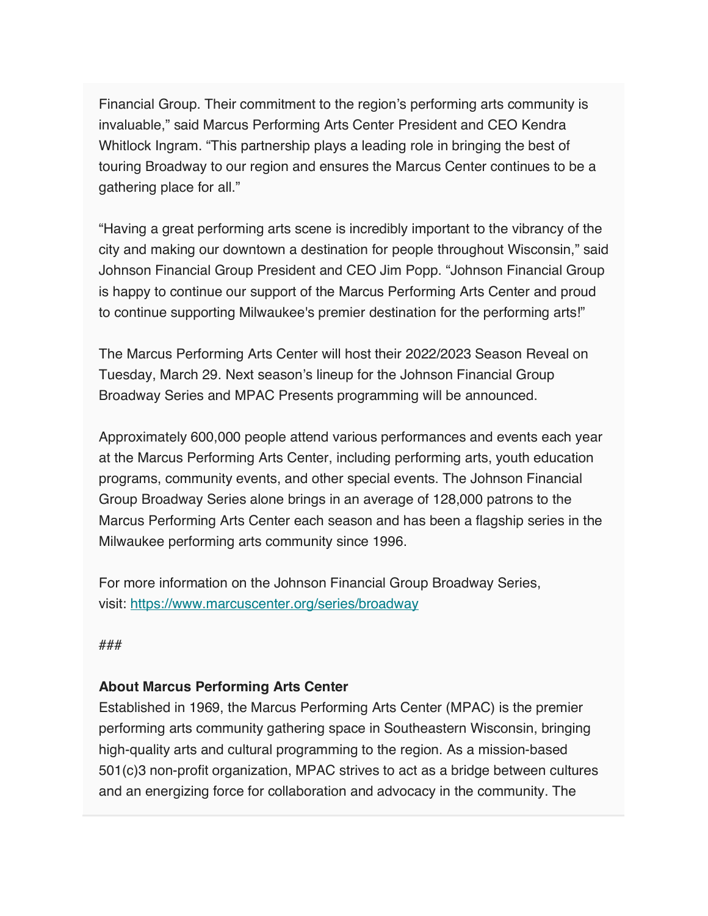Financial Group. Their commitment to the region's performing arts community is invaluable," said Marcus Performing Arts Center President and CEO Kendra Whitlock Ingram. "This partnership plays a leading role in bringing the best of touring Broadway to our region and ensures the Marcus Center continues to be a gathering place for all."

"Having a great performing arts scene is incredibly important to the vibrancy of the city and making our downtown a destination for people throughout Wisconsin," said Johnson Financial Group President and CEO Jim Popp. "Johnson Financial Group is happy to continue our support of the Marcus Performing Arts Center and proud to continue supporting Milwaukee's premier destination for the performing arts!"

The Marcus Performing Arts Center will host their 2022/2023 Season Reveal on Tuesday, March 29. Next season's lineup for the Johnson Financial Group Broadway Series and MPAC Presents programming will be announced.

Approximately 600,000 people attend various performances and events each year at the Marcus Performing Arts Center, including performing arts, youth education programs, community events, and other special events. The Johnson Financial Group Broadway Series alone brings in an average of 128,000 patrons to the Marcus Performing Arts Center each season and has been a flagship series in the Milwaukee performing arts community since 1996.

For more information on the Johnson Financial Group Broadway Series, visit: https://www.marcuscenter.org/series/broadway

###

### **About Marcus Performing Arts Center**

Established in 1969, the Marcus Performing Arts Center (MPAC) is the premier performing arts community gathering space in Southeastern Wisconsin, bringing high-quality arts and cultural programming to the region. As a mission-based 501(c)3 non-profit organization, MPAC strives to act as a bridge between cultures and an energizing force for collaboration and advocacy in the community. The